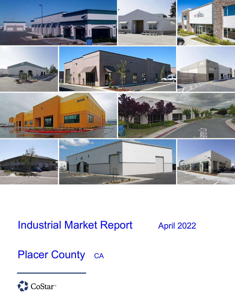

# **Industrial Market Report April 2022**

## Placer County CA

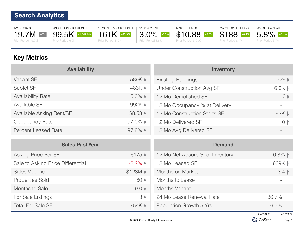INVENTORY SF 19.7M +0% Prior Period 19.7M

UNDER CONSTRUCTION SF 99.5K +1,342.6% Prior Period 6.9K



VACANCY RATE 3.0% -0.8% Prior Period 3.8%

MARKET RENT/SF \$10.88 +8.8% Prior Period \$10.00

MARKET SALE PRICE/SF \$188 +8.4% Prior Period \$174



#### **Key Metrics**

| <b>Availability</b>        |                    | <b>Inventory</b>                 |                  |
|----------------------------|--------------------|----------------------------------|------------------|
| Vacant SF                  | 589K 4             | <b>Existing Buildings</b>        | 729 ♦            |
| Sublet SF                  | 483K 4             | <b>Under Construction Avg SF</b> | 16.6K $\sqrt{ }$ |
| <b>Availability Rate</b>   | $5.0\%$ $\uparrow$ | 12 Mo Demolished SF              | $\circ$          |
| Available SF               | 992K 4             | 12 Mo Occupancy % at Delivery    |                  |
| Available Asking Rent/SF   | \$8.53 $\triangle$ | 12 Mo Construction Starts SF     | 92K 4            |
| Occupancy Rate             | $97.0\%$ $\star$   | 12 Mo Delivered SF               | $0 \sqrt{ }$     |
| <b>Percent Leased Rate</b> | 97.8% $\uparrow$   | 12 Mo Avg Delivered SF           |                  |

|                                   | <b>Sales Past Year</b> | <b>Demand</b>                   |                 |
|-----------------------------------|------------------------|---------------------------------|-----------------|
| Asking Price Per SF               | $$175$ $\AA$           | 12 Mo Net Absorp % of Inventory | $0.8\%$ $\star$ |
| Sale to Asking Price Differential | $-2.2\%$ $\uparrow$    | 12 Mo Leased SF                 | 639K 4          |
| Sales Volume                      | $$123M$ $\downarrow$   | Months on Market                | $3.4 \sqrt{ }$  |
| <b>Properties Sold</b>            | 60 4                   | Months to Lease                 |                 |
| Months to Sale                    | $9.0 \star$            | Months Vacant                   |                 |
| For Sale Listings                 | 13 <sub>4</sub>        | 24 Mo Lease Renewal Rate        | 86.7%           |
| <b>Total For Sale SF</b>          | 754K A                 | Population Growth 5 Yrs         | 6.5%            |



Page 1

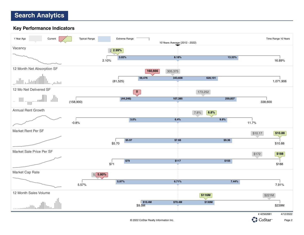#### **Key Performance Indicators**



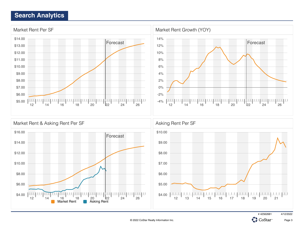





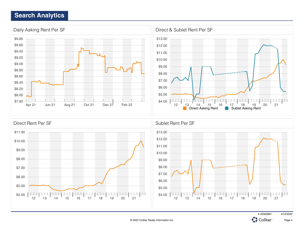

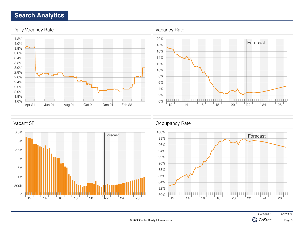







Page 5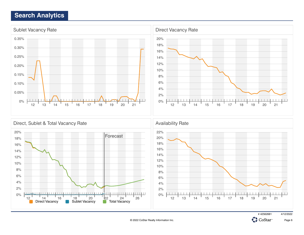



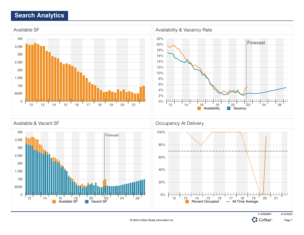0

 $12$   $14$   $16$   $18$   $20$   $22$   $24$   $24$   $26$ <br>Available SF **C** Vacant SF





0%

# 42562681 4/12/2022 CoStar<sup>®</sup>

12 1<u>3</u> 14 15 16 17 18 19 20 21

Percent Occupied - All Time Average

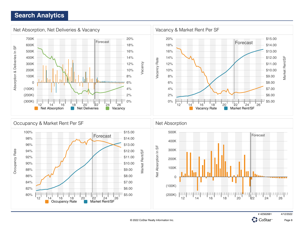

© 2022 CoStar Realty Information Inc.

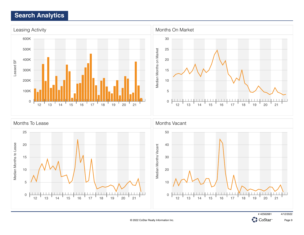



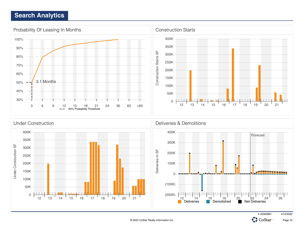





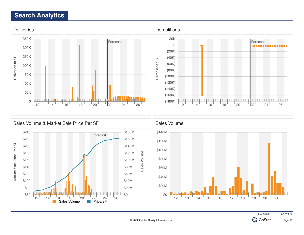



# 42562681 4/12/2022

CoStar

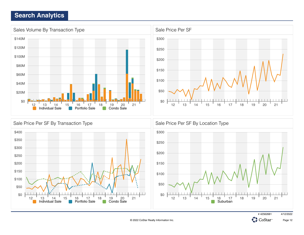





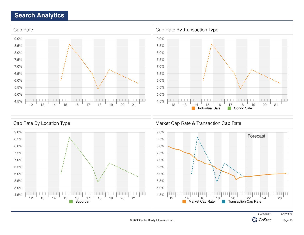



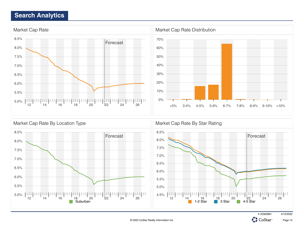

# 42562681 4/12/2022

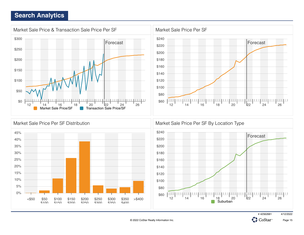







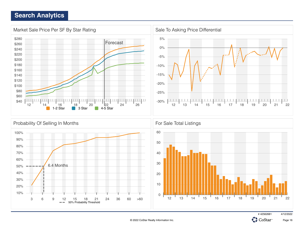

# 42562681 4/12/2022

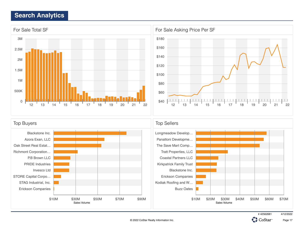



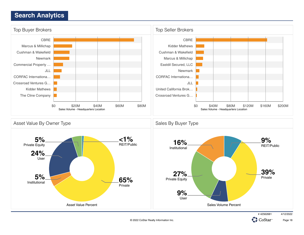

CoStar<sup>®</sup>

Page 18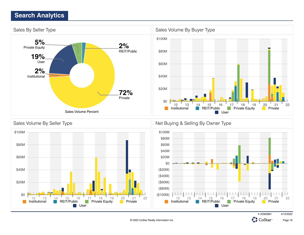

# 42562681 4/12/2022



Page 19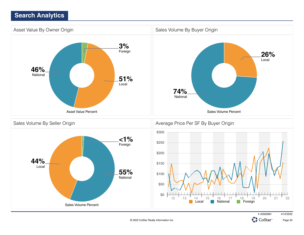

# 42562681 4/12/2022

Page 20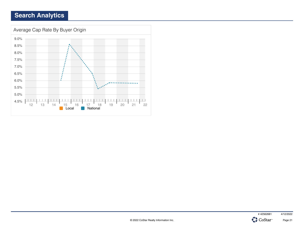